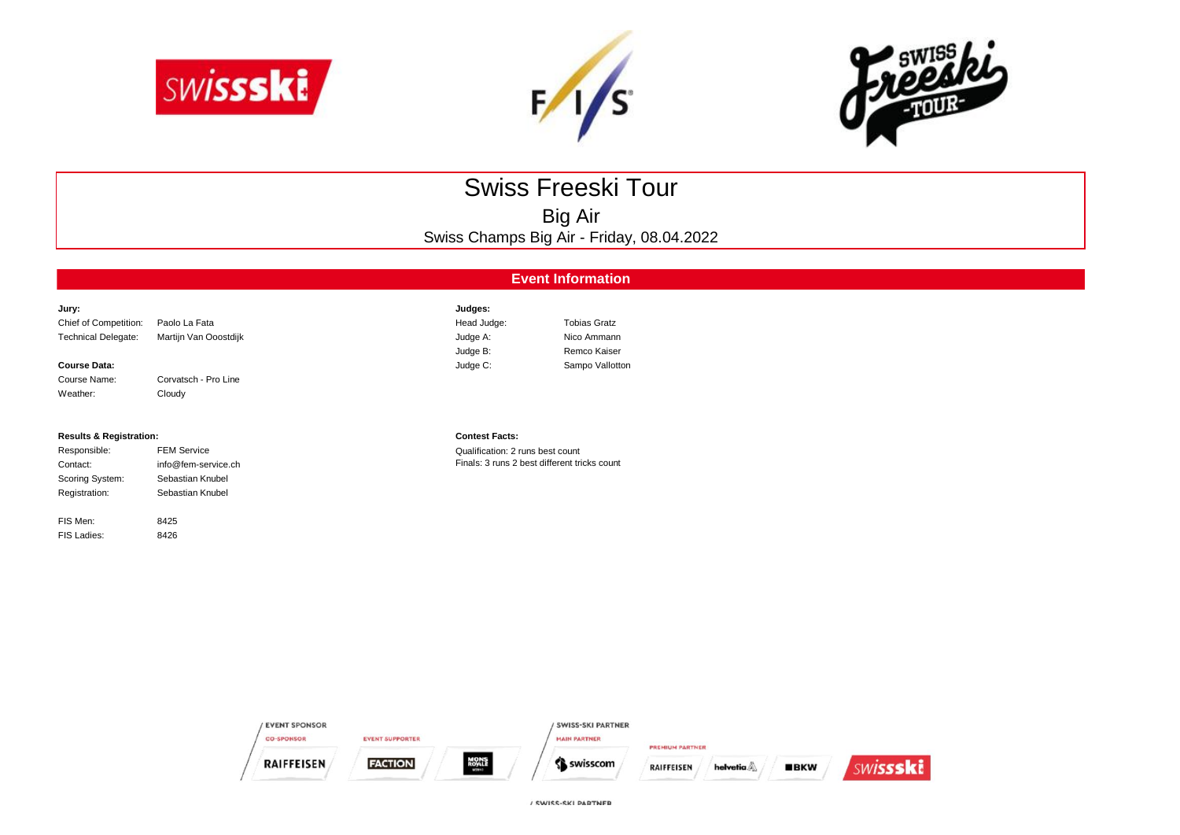





# Swiss Freeski Tour

Big Air Swiss Champs Big Air - Friday, 08.04.2022

## **Event Information**

| Jury:                      |                       | Judges:     |                     |
|----------------------------|-----------------------|-------------|---------------------|
| Chief of Competition:      | Paolo La Fata         | Head Judge: | <b>Tobias Gratz</b> |
| <b>Technical Delegate:</b> | Martijn Van Ooostdijk | Judge A:    | Nico Ammann         |
|                            |                       | Judge B:    | Remco Kaiser        |
| <b>Course Data:</b>        |                       | Judge C:    | Sampo Vallotton     |
| Course Name:               | Corvatsch - Pro Line  |             |                     |

### **Results & Registration: Contest Facts:**

Weather: Cloudy

| Responsible:    | <b>FEM Service</b>  |
|-----------------|---------------------|
| Contact:        | info@fem-service.ch |
| Scoring System: | Sebastian Knubel    |
| Registration:   | Sebastian Knubel    |
|                 |                     |

8426

FIS Men: 8425 FIS Ladies:

Qualification: 2 runs best count Finals: 3 runs 2 best different tricks count

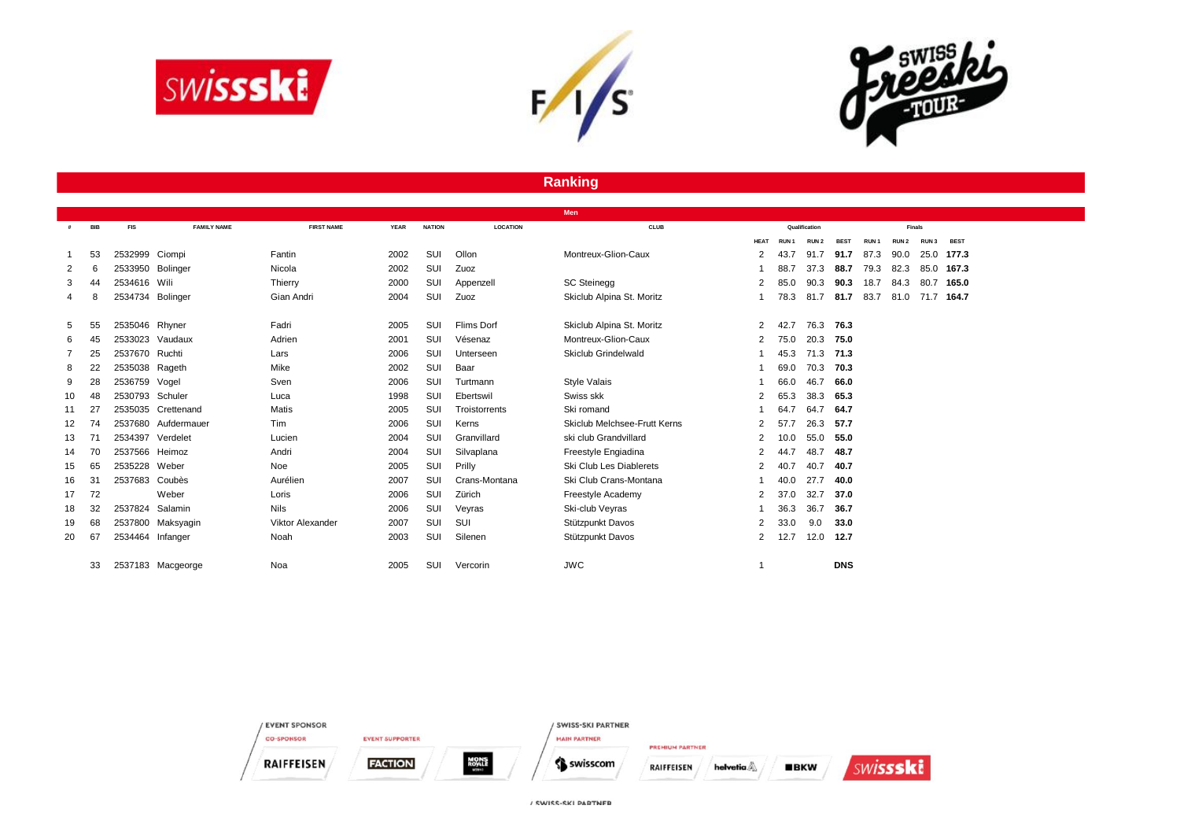





# **Ranking**

|    |            |                  |                     |                         |             |               |                 | Men                          |                |                  |                  |             |                  |                  |                  |             |
|----|------------|------------------|---------------------|-------------------------|-------------|---------------|-----------------|------------------------------|----------------|------------------|------------------|-------------|------------------|------------------|------------------|-------------|
| #  | <b>BIB</b> | <b>FIS</b>       | <b>FAMILY NAME</b>  | <b>FIRST NAME</b>       | <b>YEAR</b> | <b>NATION</b> | <b>LOCATION</b> | <b>CLUB</b>                  | Qualification  |                  |                  | Finals      |                  |                  |                  |             |
|    |            |                  |                     |                         |             |               |                 |                              | <b>HEAT</b>    | RUN <sub>1</sub> | RUN <sub>2</sub> | <b>BEST</b> | RUN <sub>1</sub> | RUN <sub>2</sub> | RUN <sub>3</sub> | <b>BEST</b> |
|    | 53         | 2532999 Ciompi   |                     | Fantin                  | 2002        | SUI           | Ollon           | Montreux-Glion-Caux          | 2              | 43.7             | 91.7             | 91.7        | 87.3             | 90.0             | 25.0             | 177.3       |
|    | 6          | 2533950          | Bolinger            | Nicola                  | 2002        | SUI           | Zuoz            |                              |                | 88.7             | 37.3             | 88.7        | 79.3             | 82.3             |                  | 85.0 167.3  |
| 3  | 44         | 2534616 Wili     |                     | Thierry                 | 2000        | SUI           | Appenzell       | <b>SC Steinegg</b>           | $\overline{2}$ | 85.0             | 90.3             | 90.3        | 18.7             | 84.3             | 80.7             | 165.0       |
| 4  | 8          | 2534734 Bolinger |                     | Gian Andri              | 2004        | SUI           | Zuoz            | Skiclub Alpina St. Moritz    |                | 78.3             | 81.7             | 81.7        | 83.7             | 81.0             | 71.7 164.7       |             |
|    |            |                  |                     |                         |             |               |                 |                              |                |                  |                  |             |                  |                  |                  |             |
| 5  | 55         | 2535046 Rhyner   |                     | Fadri                   | 2005        | SUI           | Flims Dorf      | Skiclub Alpina St. Moritz    | 2              | 42.7             | 76.3             | 76.3        |                  |                  |                  |             |
| 6  | 45         |                  | 2533023 Vaudaux     | Adrien                  | 2001        | SUI           | Vésenaz         | Montreux-Glion-Caux          | 2              | 75.0             | 20.3             | 75.0        |                  |                  |                  |             |
|    | 25         | 2537670 Ruchti   |                     | Lars                    | 2006        | SUI           | Unterseen       | Skiclub Grindelwald          |                | 45.3             | 71.3             | 71.3        |                  |                  |                  |             |
| 8  | 22         | 2535038 Rageth   |                     | Mike                    | 2002        | SUI           | Baar            |                              |                | 69.0             | 70.3             | 70.3        |                  |                  |                  |             |
| 9  | 28         | 2536759 Vogel    |                     | Sven                    | 2006        | SUI           | Turtmann        | <b>Style Valais</b>          |                | 66.0             | 46.7             | 66.0        |                  |                  |                  |             |
| 10 | 48         | 2530793 Schuler  |                     | Luca                    | 1998        | SUI           | Ebertswil       | Swiss skk                    | 2              | 65.3             | 38.3             | 65.3        |                  |                  |                  |             |
| 11 | 27         |                  | 2535035 Crettenand  | Matis                   | 2005        | SUI           | Troistorrents   | Ski romand                   |                | 64.7             | 64.7             | 64.7        |                  |                  |                  |             |
| 12 | 74         |                  | 2537680 Aufdermauer | Tim                     | 2006        | SUI           | Kerns           | Skiclub Melchsee-Frutt Kerns | 2              | 57.7             | 26.3             | 57.7        |                  |                  |                  |             |
| 13 | 71         | 2534397          | Verdelet            | Lucien                  | 2004        | SUI           | Granvillard     | ski club Grandvillard        | 2              | 10.0             | 55.0             | 55.0        |                  |                  |                  |             |
| 14 | 70         | 2537566 Heimoz   |                     | Andri                   | 2004        | SUI           | Silvaplana      | Freestyle Engiadina          | 2              | 44.7             | 48.7             | 48.7        |                  |                  |                  |             |
| 15 | 65         | 2535228 Weber    |                     | Noe                     | 2005        | SUI           | Prilly          | Ski Club Les Diablerets      | 2              | 40.7             | 40.7             | 40.7        |                  |                  |                  |             |
| 16 | 31         | 2537683          | Coubès              | Aurélien                | 2007        | SUI           | Crans-Montana   | Ski Club Crans-Montana       |                | 40.0             | 27.7             | 40.0        |                  |                  |                  |             |
| 17 | 72         |                  | Weber               | Loris                   | 2006        | SUI           | Zürich          | Freestyle Academy            | $\overline{2}$ | 37.0             | 32.7             | 37.0        |                  |                  |                  |             |
| 18 | 32         | 2537824          | Salamin             | <b>Nils</b>             | 2006        | SUI           | Veyras          | Ski-club Veyras              |                | 36.3             | 36.7             | 36.7        |                  |                  |                  |             |
| 19 | 68         | 2537800          | Maksyagin           | <b>Viktor Alexander</b> | 2007        | SUI           | SUI             | Stützpunkt Davos             | 2              | 33.0             | 9.0              | 33.0        |                  |                  |                  |             |
| 20 | 67         | 2534464 Infanger |                     | Noah                    | 2003        | SUI           | Silenen         | Stützpunkt Davos             | 2              | 12.7             | 12.0             | 12.7        |                  |                  |                  |             |
|    |            |                  |                     |                         |             |               |                 |                              |                |                  |                  |             |                  |                  |                  |             |
|    | 33         |                  | 2537183 Macgeorge   | Noa                     | 2005        | SUI           | Vercorin        | <b>JWC</b>                   |                |                  |                  | <b>DNS</b>  |                  |                  |                  |             |
|    |            |                  |                     |                         |             |               |                 |                              |                |                  |                  |             |                  |                  |                  |             |